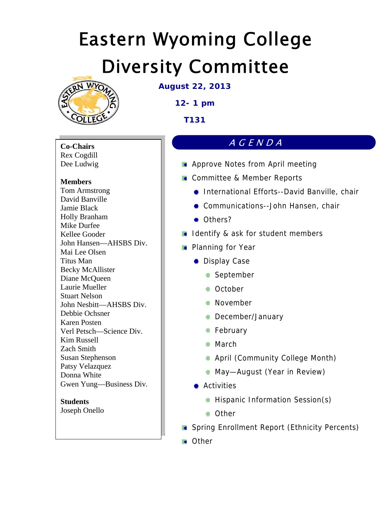

**August 22, 2013** 

**12- 1 pm** 

**T131** 

**Co-Chairs**  Rex Cogdill Dee Ludwig

# **Members**

Tom Armstrong David Banville Jamie Black Holly Branham Mike Durfee Kellee Gooder John Hansen—AHSBS Div. Mai Lee Olsen Titus Man Becky McAllister Diane McQueen Laurie Mueller Stuart Nelson John Nesbitt—AHSBS Div. Debbie Ochsner Karen Posten Verl Petsch—Science Div. Kim Russell Zach Smith Susan Stephenson Patsy Velazquez Donna White Gwen Yung—Business Div.

## **Students**  Joseph Onello

# AGENDA

- **Approve Notes from April meeting**
- **Committee & Member Reports** 
	- **International Efforts--David Banville, chair**
	- **Communications--John Hansen, chair**
	- Others?
- I Identify & ask for student members
- **Planning for Year** 
	- **Display Case** 
		- **September**
		- **October**
		- **November**
		- **December/January**
		- **February**
		- March
		- **April (Community College Month)**
		- **May-August (Year in Review)**
	- **Activities** 
		- **Hispanic Information Session(s)**
		- **Other**
- **Spring Enrollment Report (Ethnicity Percents)**
- **Command**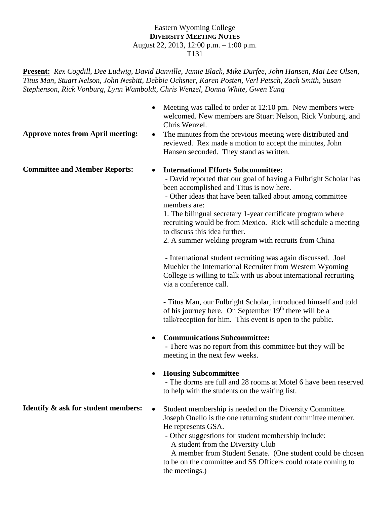### Eastern Wyoming College **DIVERSITY MEETING NOTES** August 22, 2013, 12:00 p.m. – 1:00 p.m. T131

**Present:** *Rex Cogdill*, *Dee Ludwig, David Banville, Jamie Black, Mike Durfee, John Hansen, Mai Lee Olsen, Titus Man, Stuart Nelson, John Nesbitt, Debbie Ochsner, Karen Posten, Verl Petsch, Zach Smith, Susan Stephenson, Rick Vonburg, Lynn Wamboldt, Chris Wenzel, Donna White, Gwen Yung* 

- Meeting was called to order at 12:10 pm. New members were welcomed. New members are Stuart Nelson, Rick Vonburg, and Chris Wenzel.
- **Approve notes from April meeting:** The minutes from the previous meeting were distributed and reviewed. Rex made a motion to accept the minutes, John Hansen seconded. They stand as written.

# **Committee and Member Reports: International Efforts Subcommittee:**

 - David reported that our goal of having a Fulbright Scholar has been accomplished and Titus is now here.

 - Other ideas that have been talked about among committee members are:

1. The bilingual secretary 1-year certificate program where recruiting would be from Mexico. Rick will schedule a meeting to discuss this idea further.

2. A summer welding program with recruits from China

 - International student recruiting was again discussed. Joel Muehler the International Recruiter from Western Wyoming College is willing to talk with us about international recruiting via a conference call.

- Titus Man, our Fulbright Scholar, introduced himself and told of his journey here. On September  $19<sup>th</sup>$  there will be a talk/reception for him. This event is open to the public.

# **Communications Subcommittee:**

 **-** There was no report from this committee but they will be meeting in the next few weeks.

# **Housing Subcommittee**

 - The dorms are full and 28 rooms at Motel 6 have been reserved to help with the students on the waiting list.

- **Identify & ask for student members:** Student membership is needed on the Diversity Committee. Joseph Onello is the one returning student committee member. He represents GSA.
	- Other suggestions for student membership include: A student from the Diversity Club

 A member from Student Senate. (One student could be chosen to be on the committee and SS Officers could rotate coming to the meetings.)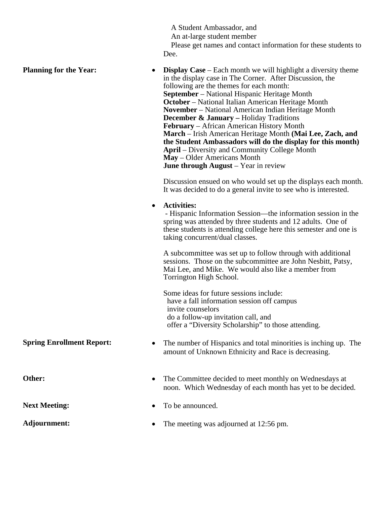A Student Ambassador, and

An at-large student member

**Planning for the Year:** • **Display Case** – Each month we will highlight a diversity theme

 Please get names and contact information for these students to Dee.

in the display case in The Corner. After Discussion, the following are the themes for each month: **September** – National Hispanic Heritage Month **October** – National Italian American Heritage Month **November** – National American Indian Heritage Month **December & January –** Holiday Traditions **February** – African American History Month **March** – Irish American Heritage Month **(Mai Lee, Zach, and the Student Ambassadors will do the display for this month) April** – Diversity and Community College Month **May** – Older Americans Month **June through August** – Year in review Discussion ensued on who would set up the displays each month. It was decided to do a general invite to see who is interested. **Activities:**  - Hispanic Information Session—the information session in the spring was attended by three students and 12 adults. One of these students is attending college here this semester and one is taking concurrent/dual classes. A subcommittee was set up to follow through with additional sessions. Those on the subcommittee are John Nesbitt, Patsy, Mai Lee, and Mike. We would also like a member from Torrington High School. Some ideas for future sessions include: have a fall information session off campus invite counselors do a follow-up invitation call, and offer a "Diversity Scholarship" to those attending. **Spring Enrollment Report:** • The number of Hispanics and total minorities is inching up. The amount of Unknown Ethnicity and Race is decreasing. Other: • The Committee decided to meet monthly on Wednesdays at noon. Which Wednesday of each month has yet to be decided. **Next Meeting:**  $\bullet$  To be announced. **Adjournment:** The meeting was adjourned at 12:56 pm.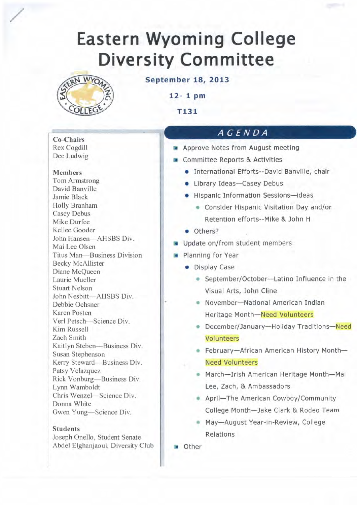

**September 18, 2013** 

 $12 - 1$  pm

T<sub>131</sub>

# AGENDA

- Approve Notes from August meeting
- Committee Reports & Activities
	- · International Efforts--David Banville, chair
	- Library Ideas-Casey Debus
	- Hispanic Information Sessions-ideas
		- Consider Hispanic Visitation Day and/or Retention efforts--Mike & John H
	- · Others?
- Update on/from student members
- Planning for Year
	- Display Case
		- September/October-Latino Influence in the Visual Arts, John Cline
		- November-National American Indian Heritage Month-Need Volunteers
		- December/January-Holiday Traditions-Need Volunteers
		- February-African American History Month-**Need Volunteers**
		- March-Irish American Heritage Month-Mai Lee, Zach, & Ambassadors
		- April-The American Cowboy/Community College Month-Jake Clark & Rodeo Team
		- May-August Year-in-Review, College Relations

Other

**Co-Chairs** Rex Cogdill Dee Ludwig

**Members** 

**Tom Armstrong** David Banville Jamie Black Holly Branham **Casey Debus** Mike Durfee Kellee Gooder John Hansen-AHSBS Div. Mai Lee Olsen Titus Man-Business Division **Becky McAllister** Diane McQueen Laurie Mueller **Stuart Nelson** John Nesbitt-AHSBS Div. Debbie Ochsner Karen Posten Verl Petsch-Science Div. Kim Russell Zach Smith Kaitlyn Steben-Business Div. Susan Stephenson Kerry Steward-Business Div. Patsy Velazquez Rick Vonburg-Business Div. Lynn Wamboldt Chris Wenzel-Science Div. Donna White Gwen Yung-Science Div.

### **Students**

Joseph Onello, Student Senate Abdel Elghanjaoui, Diversity Club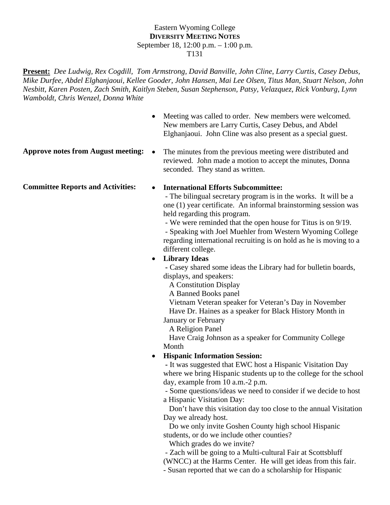### Eastern Wyoming College **DIVERSITY MEETING NOTES** September 18, 12:00 p.m. – 1:00 p.m. T131

**Present:** *Dee Ludwig, Rex Cogdill, Tom Armstrong, David Banville, John Cline*, *Larry Curtis*, *Casey Debus, Mike Durfee, Abdel Elghanjaoui, Kellee Gooder, John Hansen, Mai Lee Olsen, Titus Man, Stuart Nelson, John Nesbitt, Karen Posten, Zach Smith, Kaitlyn Steben, Susan Stephenson, Patsy, Velazquez, Rick Vonburg, Lynn Wamboldt, Chris Wenzel, Donna White* 

- Meeting was called to order. New members were welcomed. New members are Larry Curtis, Casey Debus, and Abdel Elghanjaoui. John Cline was also present as a special guest.
- 
- **Approve notes from August meeting:** The minutes from the previous meeting were distributed and reviewed. John made a motion to accept the minutes, Donna seconded. They stand as written.

# **Committee Reports and Activities: International Efforts Subcommittee:**

 - The bilingual secretary program is in the works. It will be a one (1) year certificate. An informal brainstorming session was held regarding this program.

 - We were reminded that the open house for Titus is on 9/19. - Speaking with Joel Muehler from Western Wyoming College regarding international recruiting is on hold as he is moving to a different college.

# **Library Ideas**

 **-** Casey shared some ideas the Library had for bulletin boards, displays, and speakers:

A Constitution Display

A Banned Books panel

 Vietnam Veteran speaker for Veteran's Day in November Have Dr. Haines as a speaker for Black History Month in January or February

A Religion Panel

 Have Craig Johnson as a speaker for Community College Month

# **Hispanic Information Session:**

 **-** It was suggested that EWC host a Hispanic Visitation Day where we bring Hispanic students up to the college for the school day, example from 10 a.m.-2 p.m.

 - Some questions/ideas we need to consider if we decide to host a Hispanic Visitation Day:

 Don't have this visitation day too close to the annual Visitation Day we already host.

 Do we only invite Goshen County high school Hispanic students, or do we include other counties?

Which grades do we invite?

- Zach will be going to a Multi-cultural Fair at Scottsbluff

(WNCC) at the Harms Center. He will get ideas from this fair.

- Susan reported that we can do a scholarship for Hispanic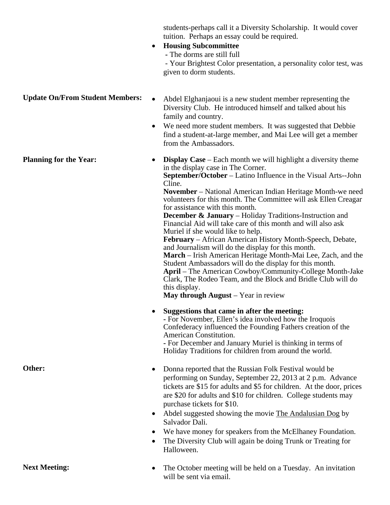students-perhaps call it a Diversity Scholarship. It would cover tuition. Perhaps an essay could be required. **Housing Subcommittee -** The dorms are still full - Your Brightest Color presentation, a personality color test, was given to dorm students. **Update On/From Student Members:** • Abdel Elghanjaoui is a new student member representing the Diversity Club. He introduced himself and talked about his family and country. We need more student members. It was suggested that Debbie find a student-at-large member, and Mai Lee will get a member from the Ambassadors. **Planning for the Year:**  $\bullet$  **Display Case** – Each month we will highlight a diversity theme in the display case in The Corner. **September/October** – Latino Influence in the Visual Arts--John Cline. **November** – National American Indian Heritage Month-we need volunteers for this month. The Committee will ask Ellen Creagar for assistance with this month. **December & January** – Holiday Traditions-Instruction and Financial Aid will take care of this month and will also ask Muriel if she would like to help. **February** – African American History Month-Speech, Debate, and Journalism will do the display for this month. **March** – Irish American Heritage Month-Mai Lee, Zach, and the Student Ambassadors will do the display for this month. **April** – The American Cowboy/Community-College Month-Jake Clark, The Rodeo Team, and the Block and Bridle Club will do

> this display. **May through August** – Year in review

 **Suggestions that came in after the meeting: -** For November, Ellen's idea involved how the Iroquois Confederacy influenced the Founding Fathers creation of the American Constitution.

**-** For December and January Muriel is thinking in terms of Holiday Traditions for children from around the world.

- **Other:** Donna reported that the Russian Folk Festival would be performing on Sunday, September 22, 2013 at 2 p.m. Advance tickets are \$15 for adults and \$5 for children. At the door, prices are \$20 for adults and \$10 for children. College students may purchase tickets for \$10.
	- Abdel suggested showing the movie The Andalusian Dog by Salvador Dali.
	- We have money for speakers from the McElhaney Foundation.
	- The Diversity Club will again be doing Trunk or Treating for Halloween.

**Next Meeting:** The October meeting will be held on a Tuesday. An invitation will be sent via email.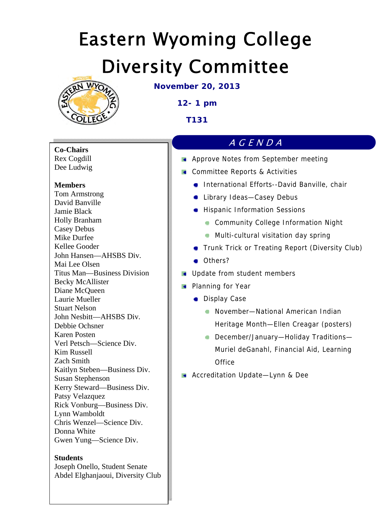

**November 20, 2013**

# **12- 1 pm**

**T131** 

**Co-Chairs** 

Rex Cogdill Dee Ludwig

# **Members**

Tom Armstrong David Banville Jamie Black Holly Branham Casey Debus Mike Durfee Kellee Gooder John Hansen—AHSBS Div. Mai Lee Olsen Titus Man—Business Division Becky McAllister Diane McQueen Laurie Mueller Stuart Nelson John Nesbitt—AHSBS Div. Debbie Ochsner Karen Posten Verl Petsch—Science Div. Kim Russell Zach Smith Kaitlyn Steben—Business Div. Susan Stephenson Kerry Steward—Business Div. Patsy Velazquez Rick Vonburg—Business Div. Lynn Wamboldt Chris Wenzel—Science Div. Donna White Gwen Yung—Science Div.

# **Students**

Joseph Onello, Student Senate Abdel Elghanjaoui, Diversity Club

# AGENDA

- **Approve Notes from September meeting**
- **Committee Reports & Activities** 
	- **International Efforts--David Banville, chair**
	- **CALL** Library Ideas-Casey Debus
	- **Hispanic Information Sessions** 
		- **Community College Information Night**
		- **Multi-cultural visitation day spring**
	- **Trunk Trick or Treating Report (Diversity Club)**
	- Others?
- **Update from student members**
- **Planning for Year** 
	- **Display Case** 
		- November—National American Indian Heritage Month—Ellen Creagar (posters)
		- **December/January-Holiday Traditions-**Muriel deGanahl, Financial Aid, Learning **Office**
- **Accreditation Update—Lynn & Dee**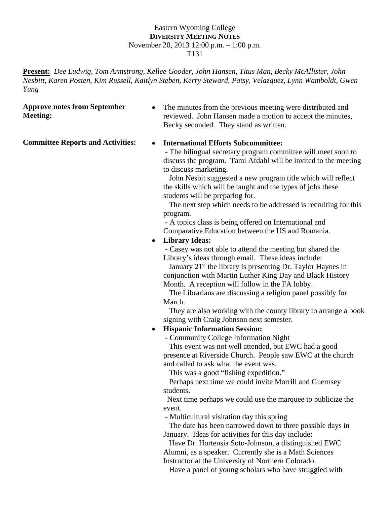### Eastern Wyoming College **DIVERSITY MEETING NOTES** November 20, 2013 12:00 p.m. – 1:00 p.m. T131

**Present:** *Dee Ludwig, Tom Armstrong, Kellee Gooder, John Hansen, Titus Man, Becky McAllister, John Nesbitt, Karen Posten, Kim Russell, Kaitlyn Steben, Kerry Steward, Patsy, Velazquez, Lynn Wamboldt, Gwen Yung* 

# **Approve notes from September Meeting:**

• The minutes from the previous meeting were distributed and reviewed. John Hansen made a motion to accept the minutes, Becky seconded. They stand as written.

# **Committee Reports and Activities: International Efforts Subcommittee:**

 - The bilingual secretary program committee will meet soon to discuss the program. Tami Afdahl will be invited to the meeting to discuss marketing.

 John Nesbit suggested a new program title which will reflect the skills which will be taught and the types of jobs these students will be preparing for.

 The next step which needs to be addressed is recruiting for this program.

 - A topics class is being offered on International and Comparative Education between the US and Romania.

# **Library Ideas:**

 **-** Casey was not able to attend the meeting but shared the Library's ideas through email. These ideas include:

January 21<sup>st</sup> the library is presenting Dr. Taylor Haynes in conjunction with Martin Luther King Day and Black History Month. A reception will follow in the FA lobby.

 The Librarians are discussing a religion panel possibly for March.

 They are also working with the county library to arrange a book signing with Craig Johnson next semester.

# **Hispanic Information Session:**

- Community College Information Night

 This event was not well attended, but EWC had a good presence at Riverside Church. People saw EWC at the church and called to ask what the event was.

This was a good "fishing expedition."

 Perhaps next time we could invite Morrill and Guernsey students.

 Next time perhaps we could use the marquee to publicize the event.

- Multicultural visitation day this spring

 The date has been narrowed down to three possible days in January. Ideas for activities for this day include:

 Have Dr. Hortensia Soto-Johnson, a distinguished EWC Alumni, as a speaker. Currently she is a Math Sciences Instructor at the University of Northern Colorado.

Have a panel of young scholars who have struggled with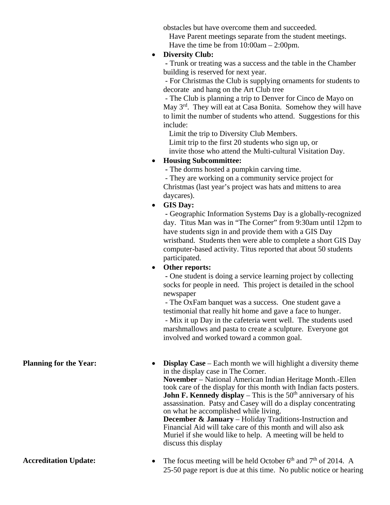obstacles but have overcome them and succeeded.

Have Parent meetings separate from the student meetings.

Have the time be from 10:00am – 2:00pm.

# **Diversity Club:**

 **-** Trunk or treating was a success and the table in the Chamber building is reserved for next year.

 - For Christmas the Club is supplying ornaments for students to decorate and hang on the Art Club tree

 - The Club is planning a trip to Denver for Cinco de Mayo on May 3<sup>rd</sup>. They will eat at Casa Bonita. Somehow they will have to limit the number of students who attend. Suggestions for this include:

 Limit the trip to Diversity Club Members. Limit trip to the first 20 students who sign up, or invite those who attend the Multi-cultural Visitation Day.

# **Housing Subcommittee:**

 **-** The dorms hosted a pumpkin carving time.

 - They are working on a community service project for Christmas (last year's project was hats and mittens to area daycares).

**GIS Day:** 

 **-** Geographic Information Systems Day is a globally-recognized day.Titus Man was in "The Corner" from 9:30am until 12pm to have students sign in and provide them with a GIS Day wristband. Students then were able to complete a short GIS Day computer-based activity. Titus reported that about 50 students participated.

**Other reports:** 

 **-** One student is doing a service learning project by collecting socks for people in need. This project is detailed in the school newspaper

 - The OxFam banquet was a success. One student gave a testimonial that really hit home and gave a face to hunger. - Mix it up Day in the cafeteria went well. The students used marshmallows and pasta to create a sculpture. Everyone got involved and worked toward a common goal.

**Planning for the Year:** • **Display Case** – Each month we will highlight a diversity theme in the display case in The Corner. **November** – National American Indian Heritage Month.-Ellen took care of the display for this month with Indian facts posters. **John F. Kennedy display** – This is the  $50<sup>th</sup>$  anniversary of his assassination. Patsy and Casey will do a display concentrating on what he accomplished while living. **December & January** – Holiday Traditions-Instruction and

Financial Aid will take care of this month and will also ask Muriel if she would like to help. A meeting will be held to discuss this display

**Accreditation Update:**  $\bullet$  The focus meeting will be held October 6<sup>th</sup> and 7<sup>th</sup> of 2014. A 25-50 page report is due at this time. No public notice or hearing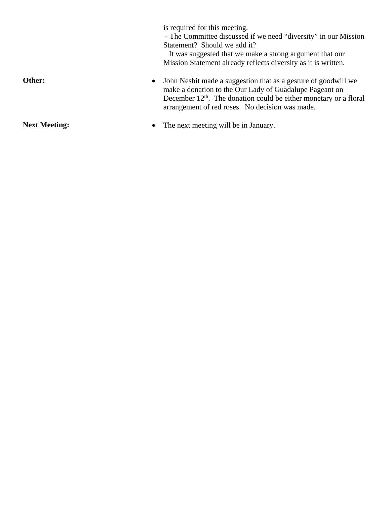|                                   | is required for this meeting.<br>- The Committee discussed if we need "diversity" in our Mission<br>Statement? Should we add it?<br>It was suggested that we make a strong argument that our<br>Mission Statement already reflects diversity as it is written. |
|-----------------------------------|----------------------------------------------------------------------------------------------------------------------------------------------------------------------------------------------------------------------------------------------------------------|
| Other:<br>$\bullet$               | John Nesbit made a suggestion that as a gesture of goodwill we<br>make a donation to the Our Lady of Guadalupe Pageant on<br>December $12th$ . The donation could be either monetary or a floral<br>arrangement of red roses. No decision was made.            |
| <b>Next Meeting:</b><br>$\bullet$ | The next meeting will be in January.                                                                                                                                                                                                                           |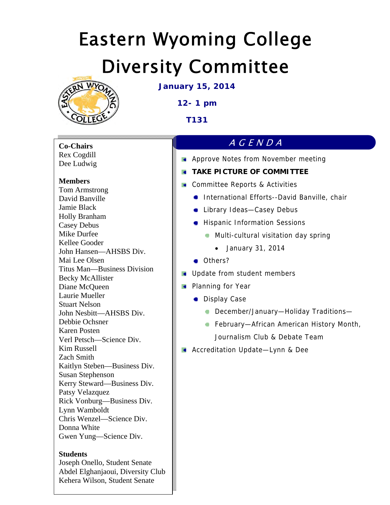

**January 15, 2014** 

**12- 1 pm** 

**T131** 

**Co-Chairs**  Rex Cogdill Dee Ludwig

# **Members**

Tom Armstrong David Banville Jamie Black Holly Branham Casey Debus Mike Durfee Kellee Gooder John Hansen—AHSBS Div. Mai Lee Olsen Titus Man—Business Division Becky McAllister Diane McQueen Laurie Mueller Stuart Nelson John Nesbitt—AHSBS Div. Debbie Ochsner Karen Posten Verl Petsch—Science Div. Kim Russell Zach Smith Kaitlyn Steben—Business Div. Susan Stephenson Kerry Steward—Business Div. Patsy Velazquez Rick Vonburg—Business Div. Lynn Wamboldt Chris Wenzel—Science Div. Donna White Gwen Yung—Science Div.

## **Students**

Joseph Onello, Student Senate Abdel Elghanjaoui, Diversity Club Kehera Wilson, Student Senate

# AGENDA

**Approve Notes from November meeting** 

# **TAKE PICTURE OF COMMITTEE**

- **Committee Reports & Activities** 
	- **International Efforts--David Banville, chair**
	- **CALL** Library Ideas-Casey Debus
	- **•** Hispanic Information Sessions
		- **Multi-cultural visitation day spring** 
			- January 31, 2014
	- Others?
- **Update from student members**
- **Planning for Year** 
	- **Display Case** 
		- **December/January-Holiday Traditions-**
		- **February-African American History Month,** Journalism Club & Debate Team
- **Accreditation Update—Lynn & Dee**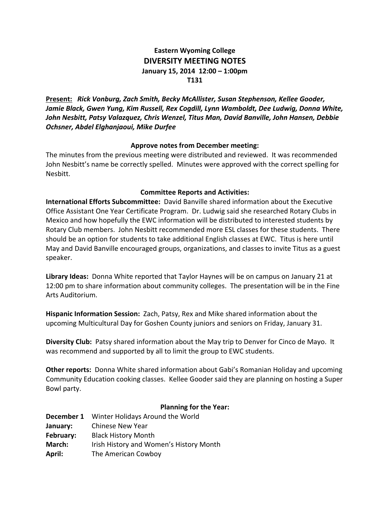# **Eastern Wyoming College DIVERSITY MEETING NOTES January 15, 2014 12:00 – 1:00pm T131**

**Present:** *Rick Vonburg, Zach Smith, Becky McAllister, Susan Stephenson, Kellee Gooder, Jamie Black, Gwen Yung, Kim Russell, Rex Cogdill, Lynn Wamboldt, Dee Ludwig, Donna White, John Nesbitt, Patsy Valazquez, Chris Wenzel, Titus Man, David Banville, John Hansen, Debbie Ochsner, Abdel Elghanjaoui, Mike Durfee*

## **Approve notes from December meeting:**

The minutes from the previous meeting were distributed and reviewed. It was recommended John Nesbitt's name be correctly spelled. Minutes were approved with the correct spelling for Nesbitt.

# **Committee Reports and Activities:**

**International Efforts Subcommittee:** David Banville shared information about the Executive Office Assistant One Year Certificate Program. Dr. Ludwig said she researched Rotary Clubs in Mexico and how hopefully the EWC information will be distributed to interested students by Rotary Club members. John Nesbitt recommended more ESL classes for these students. There should be an option for students to take additional English classes at EWC. Titus is here until May and David Banville encouraged groups, organizations, and classes to invite Titus as a guest speaker.

**Library Ideas:** Donna White reported that Taylor Haynes will be on campus on January 21 at 12:00 pm to share information about community colleges. The presentation will be in the Fine Arts Auditorium.

**Hispanic Information Session:** Zach, Patsy, Rex and Mike shared information about the upcoming Multicultural Day for Goshen County juniors and seniors on Friday, January 31.

**Diversity Club:** Patsy shared information about the May trip to Denver for Cinco de Mayo. It was recommend and supported by all to limit the group to EWC students.

**Other reports:** Donna White shared information about Gabi's Romanian Holiday and upcoming Community Education cooking classes. Kellee Gooder said they are planning on hosting a Super Bowl party.

## **Planning for the Year:**

|                  | <b>December 1</b> Winter Holidays Around the World |  |  |
|------------------|----------------------------------------------------|--|--|
| January:         | <b>Chinese New Year</b>                            |  |  |
| <b>February:</b> | <b>Black History Month</b>                         |  |  |
| March:           | Irish History and Women's History Month            |  |  |
| April:           | The American Cowboy                                |  |  |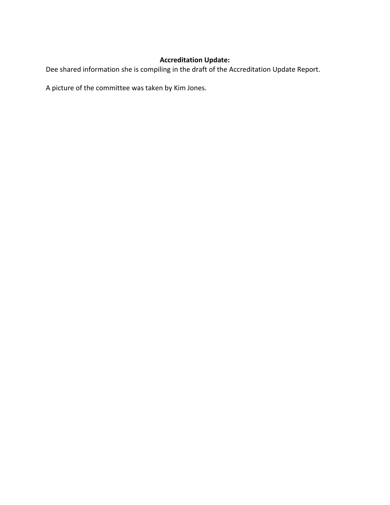# **Accreditation Update:**

Dee shared information she is compiling in the draft of the Accreditation Update Report.

A picture of the committee was taken by Kim Jones.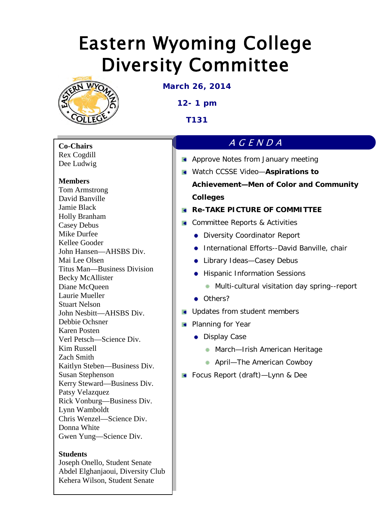

**March 26, 2014**

**12- 1 pm**

**T131** 

**Co-Chairs** Rex Cogdill Dee Ludwig

# **Members**

Tom Armstrong David Banville Jamie Black Holly Branham Casey Debus Mike Durfee Kellee Gooder John Hansen—AHSBS Div. Mai Lee Olsen Titus Man—Business Division Becky McAllister Diane McQueen Laurie Mueller Stuart Nelson John Nesbitt—AHSBS Div. Debbie Ochsner Karen Posten Verl Petsch—Science Div. Kim Russell Zach Smith Kaitlyn Steben—Business Div. Susan Stephenson Kerry Steward—Business Div. Patsy Velazquez Rick Vonburg—Business Div. Lynn Wamboldt Chris Wenzel—Science Div. Donna White Gwen Yung—Science Div.

# **Students**

Joseph Onello, Student Senate Abdel Elghanjaoui, Diversity Club Kehera Wilson, Student Senate

# AGENDA

- **Approve Notes from January meeting**
- Watch CCSSE Video—**Aspirations to**

**Achievement—Men of Color and Community Colleges**

# **Re-TAKE PICTURE OF COMMITTEE**

- **Committee Reports & Activities** 
	- **•** Diversity Coordinator Report
	- **•** International Efforts--David Banville, chair
	- Library Ideas–Casey Debus
	- **•** Hispanic Information Sessions
		- **Multi-cultural visitation day spring--report**
	- Others?
- **I** Updates from student members
- **Planning for Year** 
	- **•** Display Case
		- **March-Irish American Heritage**
		- **April–The American Cowboy**
- Focus Report (draft)—Lynn & Dee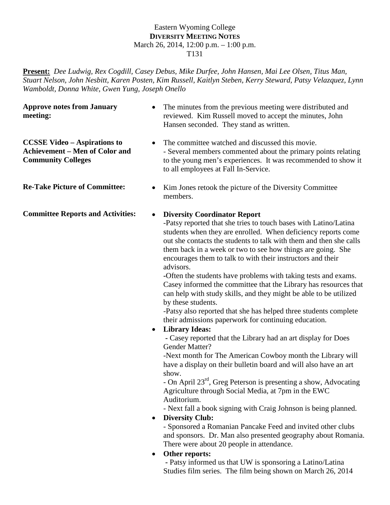### Eastern Wyoming College **DIVERSITY MEETING NOTES** March 26, 2014, 12:00 p.m. – 1:00 p.m. T131

**Present:** *Dee Ludwig, Rex Cogdill, Casey Debus, Mike Durfee, John Hansen, Mai Lee Olsen, Titus Man, Stuart Nelson, John Nesbitt, Karen Posten, Kim Russell, Kaitlyn Steben, Kerry Steward, Patsy Velazquez, Lynn Wamboldt, Donna White, Gwen Yung, Joseph Onello* 

**Approve notes from January meeting:**

**CCSSE Video – Aspirations to Achievement – Men of Color and Community Colleges** 

**Committee Reports and Activities:** • **Diversity Coordinator Report**

- The minutes from the previous meeting were distributed and reviewed. Kim Russell moved to accept the minutes, John Hansen seconded. They stand as written.
- The committee watched and discussed this movie. - Several members commented about the primary points relating to the young men's experiences. It was recommended to show it to all employees at Fall In-Service.
- **Re-Take Picture of Committee:** Kim Jones retook the picture of the Diversity Committee members.

-Patsy reported that she tries to touch bases with Latino/Latina students when they are enrolled. When deficiency reports come out she contacts the students to talk with them and then she calls them back in a week or two to see how things are going. She encourages them to talk to with their instructors and their advisors.

**-**Often the students have problems with taking tests and exams. Casey informed the committee that the Library has resources that can help with study skills, and they might be able to be utilized by these students.

-Patsy also reported that she has helped three students complete their admissions paperwork for continuing education.

# • **Library Ideas:**

 **-** Casey reported that the Library had an art display for Does Gender Matter?

-Next month for The American Cowboy month the Library will have a display on their bulletin board and will also have an art show.

- On April 23rd, Greg Peterson is presenting a show, Advocating Agriculture through Social Media, at 7pm in the EWC Auditorium.

- Next fall a book signing with Craig Johnson is being planned.

# • **Diversity Club:**

- Sponsored a Romanian Pancake Feed and invited other clubs and sponsors. Dr. Man also presented geography about Romania. There were about 20 people in attendance.

• **Other reports:**

 **-** Patsy informed us that UW is sponsoring a Latino/Latina Studies film series. The film being shown on March 26, 2014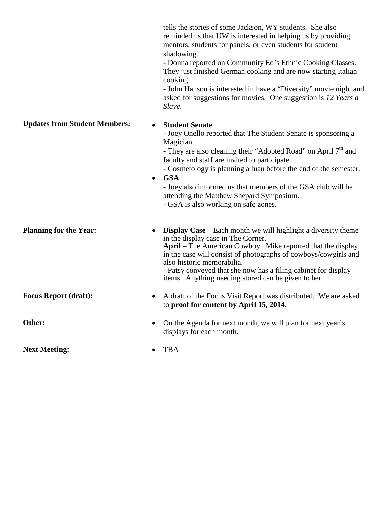reminded us that UW is interested in helping us by providing mentors, students for panels, or even students for student shadowing. - Donna reported on Community Ed's Ethnic Cooking Classes. They just finished German cooking and are now starting Italian cooking. - John Hanson is interested in have a "Diversity" movie night and asked for suggestions for movies. One suggestion is *12 Years a Slave.* **Updates from Student Members:** • **Student Senate** - Joey Onello reported that The Student Senate is sponsoring a Magician. - They are also cleaning their "Adopted Road" on April 7<sup>th</sup> and faculty and staff are invited to participate. - Cosmetology is planning a luau before the end of the semester. • **GSA -** Joey also informed us that members of the GSA club will be attending the Matthew Shepard Symposium. - GSA is also working on safe zones. **Planning for the Year:** • **Display Case** – Each month we will highlight a diversity theme in the display case in The Corner. **April** – The American Cowboy. Mike reported that the display in the case will consist of photographs of cowboys/cowgirls and also historic memorabilia. - Patsy conveyed that she now has a filing cabinet for display items. Anything needing stored can be given to her. **Focus Report (draft):** • A draft of the Focus Visit Report was distributed. We are asked to **proof for content by April 15, 2014. Other:** • On the Agenda for next month, we will plan for next year's displays for each month. **Next Meeting:** • TBA

tells the stories of some Jackson, WY students. She also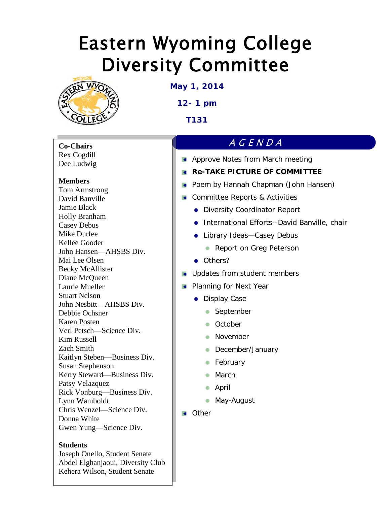

**May 1, 2014**

**12- 1 pm**

**T131** 

**Co-Chairs** Rex Cogdill Dee Ludwig

# **Members**

Tom Armstrong David Banville Jamie Black Holly Branham Casey Debus Mike Durfee Kellee Gooder John Hansen—AHSBS Div. Mai Lee Olsen Becky McAllister Diane McQueen Laurie Mueller Stuart Nelson John Nesbitt—AHSBS Div. Debbie Ochsner Karen Posten Verl Petsch—Science Div. Kim Russell Zach Smith Kaitlyn Steben—Business Div. Susan Stephenson Kerry Steward—Business Div. Patsy Velazquez Rick Vonburg—Business Div. Lynn Wamboldt Chris Wenzel—Science Div. Donna White Gwen Yung—Science Div.

# **Students**

Joseph Onello, Student Senate Abdel Elghanjaoui, Diversity Club Kehera Wilson, Student Senate

# AGENDA

**Approve Notes from March meeting** 

# **Re-TAKE PICTURE OF COMMITTEE**

- **Poem by Hannah Chapman (John Hansen)**
- **Committee Reports & Activities** 
	- **•** Diversity Coordinator Report
	- **•** International Efforts--David Banville, chair
	- Library Ideas–Casey Debus
		- **Report on Greg Peterson**
	- **Others?**
- **In Updates from student members**
- **Planning for Next Year** 
	- **•** Display Case
		- September
		- **C** October
		- **November**
		- **December/January**
		- **February**
		- **March**
		- April
		- May-August
- Other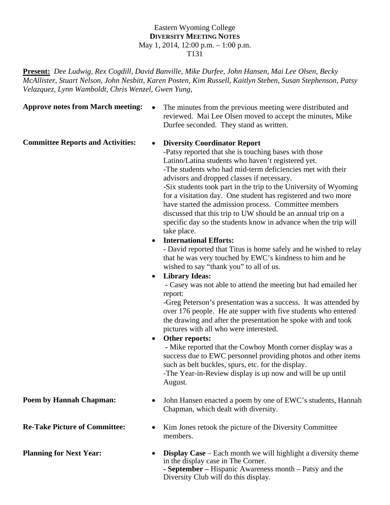## Eastern Wyoming College **DIVERSITY MEETING NOTES** May 1, 2014, 12:00 p.m. – 1:00 p.m. T131

**Present:** *Dee Ludwig, Rex Cogdill, David Banville, Mike Durfee, John Hansen, Mai Lee Olsen, Becky McAllister, Stuart Nelson, John Nesbitt, Karen Posten, Kim Russell, Kaitlyn Steben, Susan Stephenson, Patsy Velazquez, Lynn Wamboldt, Chris Wenzel, Gwen Yung,* 

**Approve notes from March meeting:** • The minutes from the previous meeting were distributed and reviewed. Mai Lee Olsen moved to accept the minutes, Mike Durfee seconded. They stand as written.

## **Committee Reports and Activities: • Diversity Coordinator Report**

-Patsy reported that she is touching bases with those Latino/Latina students who haven't registered yet. -The students who had mid-term deficiencies met with their advisors and dropped classes if necessary. -Six students took part in the trip to the University of Wyoming for a visitation day. One student has registered and two more have started the admission process. Committee members discussed that this trip to UW should be an annual trip on a specific day so the students know in advance when the trip will take place.

**International Efforts:** 

- David reported that Titus is home safely and he wished to relay that he was very touched by EWC's kindness to him and he wished to say "thank you" to all of us.

# **Library Ideas:**

 **-** Casey was not able to attend the meeting but had emailed her report:

-Greg Peterson's presentation was a success. It was attended by over 176 people. He ate supper with five students who entered the drawing and after the presentation he spoke with and took pictures with all who were interested.

## **Other reports:**

 **-** Mike reported that the Cowboy Month corner display was a success due to EWC personnel providing photos and other items such as belt buckles, spurs, etc. for the display. -The Year-in-Review display is up now and will be up until

August.

- **Poem by Hannah Chapman:** John Hansen enacted a poem by one of EWC's students, Hannah Chapman, which dealt with diversity.
- **Re-Take Picture of Committee:** Kim Jones retook the picture of the Diversity Committee members.
- **Planning for Next Year: Display Case** Each month we will highlight a diversity theme in the display case in The Corner. **- September –** Hispanic Awareness month – Patsy and the Diversity Club will do this display.